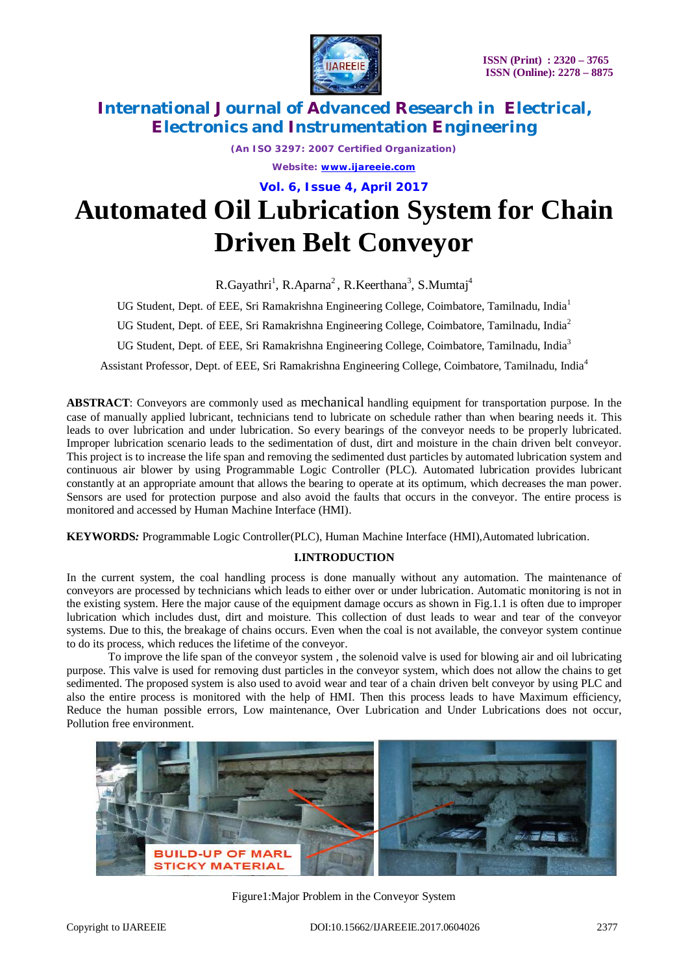

*(An ISO 3297: 2007 Certified Organization)*

*Website: [www.ijareeie.com](http://www.ijareeie.com)*

**Vol. 6, Issue 4, April 2017**

# **Automated Oil Lubrication System for Chain Driven Belt Conveyor**

R.Gayathri<sup>1</sup>, R.Aparna<sup>2</sup>, R.Keerthana<sup>3</sup>, S.Mumtaj<sup>4</sup>

UG Student, Dept. of EEE, Sri Ramakrishna Engineering College, Coimbatore, Tamilnadu, India<sup>1</sup>

UG Student, Dept. of EEE, Sri Ramakrishna Engineering College, Coimbatore, Tamilnadu, India<sup>2</sup>

UG Student, Dept. of EEE, Sri Ramakrishna Engineering College, Coimbatore, Tamilnadu, India<sup>3</sup>

Assistant Professor, Dept. of EEE, Sri Ramakrishna Engineering College, Coimbatore, Tamilnadu, India<sup>4</sup>

**ABSTRACT**: Conveyors are commonly used as mechanical handling equipment for transportation purpose. In the case of manually applied lubricant, technicians tend to lubricate on schedule rather than when bearing needs it. This leads to over lubrication and under lubrication. So every bearings of the conveyor needs to be properly lubricated. Improper lubrication scenario leads to the sedimentation of dust, dirt and moisture in the chain driven belt conveyor. This project is to increase the life span and removing the sedimented dust particles by automated lubrication system and continuous air blower by using Programmable Logic Controller (PLC). Automated lubrication provides lubricant constantly at an appropriate amount that allows the bearing to operate at its optimum, which decreases the man power. Sensors are used for protection purpose and also avoid the faults that occurs in the conveyor. The entire process is monitored and accessed by Human Machine Interface (HMI).

**KEYWORDS***:* Programmable Logic Controller(PLC), Human Machine Interface (HMI),Automated lubrication.

### **I.INTRODUCTION**

In the current system, the coal handling process is done manually without any automation. The maintenance of conveyors are processed by technicians which leads to either over or under lubrication. Automatic monitoring is not in the existing system. Here the major cause of the equipment damage occurs as shown in Fig.1.1 is often due to improper lubrication which includes dust, dirt and moisture. This collection of dust leads to wear and tear of the conveyor systems. Due to this, the breakage of chains occurs. Even when the coal is not available, the conveyor system continue to do its process, which reduces the lifetime of the conveyor.

To improve the life span of the conveyor system , the solenoid valve is used for blowing air and oil lubricating purpose. This valve is used for removing dust particles in the conveyor system, which does not allow the chains to get sedimented. The proposed system is also used to avoid wear and tear of a chain driven belt conveyor by using PLC and also the entire process is monitored with the help of HMI. Then this process leads to have Maximum efficiency, Reduce the human possible errors, Low maintenance, Over Lubrication and Under Lubrications does not occur, Pollution free environment.



Figure1:Major Problem in the Conveyor System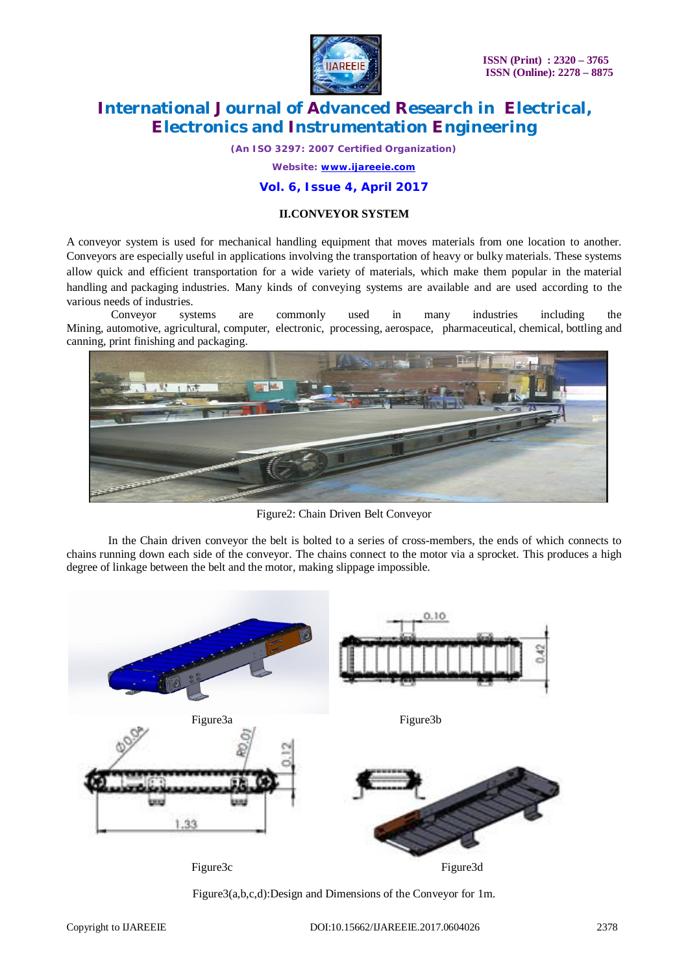

*(An ISO 3297: 2007 Certified Organization)*

*Website: [www.ijareeie.com](http://www.ijareeie.com)*

### **Vol. 6, Issue 4, April 2017**

### **II.CONVEYOR SYSTEM**

A conveyor system is used for mechanical handling equipment that moves materials from one location to another. Conveyors are especially useful in applications involving the transportation of heavy or bulky materials. These systems allow quick and efficient transportation for a wide variety of materials, which make them popular in the material handling and packaging industries. Many kinds of conveying systems are available and are used according to the various needs of industries.

Conveyor systems are commonly used in many industries including the Mining, automotive, agricultural, computer, electronic, processing, aerospace, pharmaceutical, chemical, bottling and canning, print finishing and packaging.



Figure2: Chain Driven Belt Conveyor

In the Chain driven conveyor the belt is bolted to a series of cross-members, the ends of which connects to chains running down each side of the conveyor. The chains connect to the motor via a sprocket. This produces a high degree of linkage between the belt and the motor, making slippage impossible.



Figure3(a,b,c,d):Design and Dimensions of the Conveyor for 1m.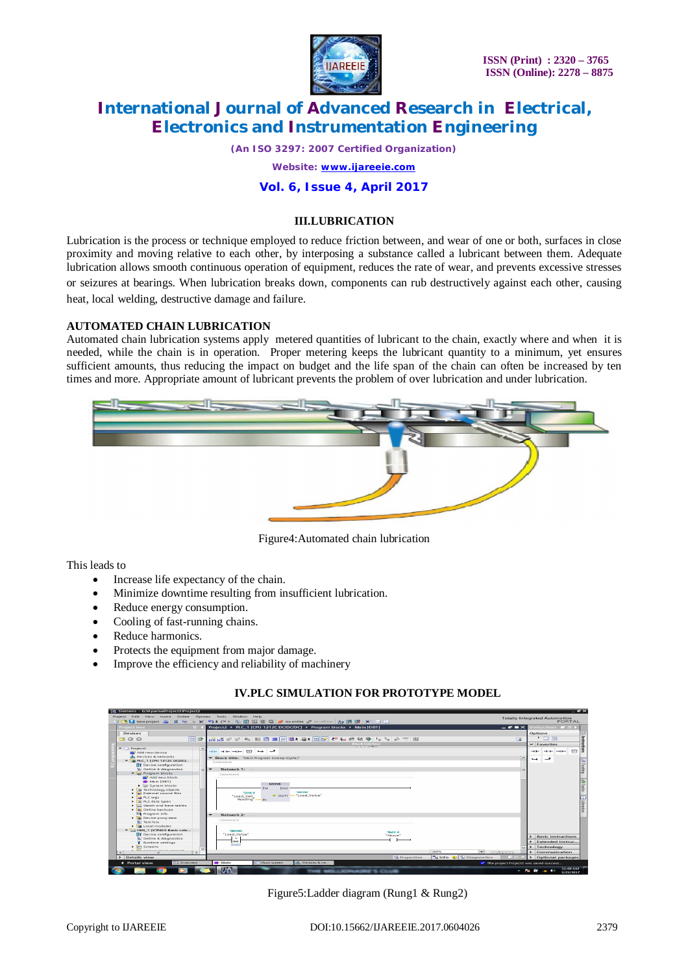

*(An ISO 3297: 2007 Certified Organization) Website: [www.ijareeie.com](http://www.ijareeie.com)* **Vol. 6, Issue 4, April 2017**

#### **III.LUBRICATION**

Lubrication is the process or technique employed to reduce friction between, and wear of one or both, surfaces in close proximity and moving relative to each other, by interposing a substance called a lubricant between them. Adequate lubrication allows smooth continuous operation of equipment, reduces the rate of wear, and prevents excessive stresses or seizures at bearings. When lubrication breaks down, components can rub destructively against each other, causing heat, local welding, destructive damage and failure.

#### **AUTOMATED CHAIN LUBRICATION**

Automated chain lubrication systems apply metered quantities of lubricant to the chain, exactly where and when it is needed, while the chain is in operation. Proper metering keeps the lubricant quantity to a minimum, yet ensures sufficient amounts, thus reducing the impact on budget and the life span of the chain can often be increased by ten times and more. Appropriate amount of lubricant prevents the problem of over lubrication and under lubrication.



Figure4:Automated chain lubrication

This leads to

- Increase life expectancy of the chain.
- Minimize downtime resulting from insufficient lubrication.
- Reduce energy consumption.
- Cooling of fast-running chains.
- Reduce harmonics.
- Protects the equipment from major damage.
- Improve the efficiency and reliability of machinery

#### **IV.PLC SIMULATION FOR PROTOTYPE MODEL**

| <b>M. Siemens - G:VAparna\Project2\Project2</b>                                        |                                                                                            | $ \rightarrow$ $\times$                         |
|----------------------------------------------------------------------------------------|--------------------------------------------------------------------------------------------|-------------------------------------------------|
| Project Edit View Insert Online Options Tools Window                                   | Help<br>今日Save project 当 ※ 迫向 × り± C*± 位田田田県 は ダ Goonline が Gooffine あ 田田 * 三 11           | <b>Totally Integrated Automation</b><br>PORTAL  |
| <b>Project tree</b><br>$\mathbf{H}$                                                    | Project2 > PLC 1 [CPU 1212C DC/DC/DC] > Program blocks > Main [OB1]<br>$   \times$         | Instructions <b>P</b> D <b>F</b>                |
| <b>Devices</b>                                                                         |                                                                                            | <b>Options</b><br>日当                            |
| [m] na-<br>900                                                                         | R\$ R\$ 박 박 리 노 리 노 오 코 프 리 리 리 리 스 스 오 21 21 2 - 1 - 1 - 2 - 2 2 23<br>$\Box$             | Instructions<br>$\cdot$ $\equiv$ $\omega$       |
|                                                                                        | Block interface                                                                            | $\vee$ Favorites                                |
| $-1$ Project <sub>2</sub><br>$\sim$                                                    |                                                                                            |                                                 |
| Add new device                                                                         | $-1 = -1 = -0 = 1$<br>ᅩ<br>$\rightarrow$                                                   | 177<br>and the <b>s</b><br>and the company from |
| ally Devices & networks                                                                | $\sim$<br>Block title: "Main Program Sweep (Cycle)"                                        | ᅩ<br>$\rightarrow$                              |
| * B PLC 1 (CPU 1212C DC/DC/                                                            | Comment                                                                                    | 3 Testin                                        |
| <b>TY</b> Device configuration                                                         | Network 1:<br>$\overline{\phantom{a}}$                                                     |                                                 |
| V. Online & diagnostics<br>- Im Program blocks                                         |                                                                                            |                                                 |
| Add new block                                                                          | Comment                                                                                    |                                                 |
| <b>ED</b> Main [OB1]                                                                   |                                                                                            | <b>Plass</b>                                    |
| Disystem blocks                                                                        | MOVE                                                                                       |                                                 |
| E La Technology objects                                                                | ENO<br>EN<br><b>New York 1</b>                                                             |                                                 |
| <b>b m</b> <sup>2</sup> External source files<br>$\blacktriangleright$ $\Box$ PLC tags | Sayyo 4<br>4> out : "Load_Value"<br>"Load Cell                                             |                                                 |
| I all PLC data types                                                                   | Reading" - IN                                                                              | <b>J</b> Libraries                              |
| I line Watch and force tables                                                          |                                                                                            |                                                 |
| <b>EN Online backups</b>                                                               |                                                                                            |                                                 |
| <b>284 Program info</b>                                                                | Network 2:                                                                                 |                                                 |
| Device proxy data                                                                      | Comment                                                                                    |                                                 |
| <b>My Text lists</b>                                                                   |                                                                                            |                                                 |
| <b>Fig Local modules</b><br>$\blacktriangleright$ Fig. HMI 1 (KTP400 Basic colo        |                                                                                            |                                                 |
| <b>TY</b> Device configuration                                                         | <b>CANAD</b><br><b>SM3.0</b><br>"Load Value"<br>"Above"                                    |                                                 |
| V. Online & diagnostics                                                                | $\sim$                                                                                     | <b>Basic instructions</b>                       |
| <b>Runtime settings</b>                                                                | Int.<br>8000                                                                               | Extended instruc                                |
| $\blacktriangleright$ $\blacksquare$ Screens                                           |                                                                                            | > Technology                                    |
| <b>Tool</b> Passage managements<br>$\overline{\phantom{a}}$                            | 100%                                                                                       | > Communication                                 |
| > Details view                                                                         | <b>N.Info @ V. Diagnostics</b><br><b>Q</b> Properties                                      | > Optional packages                             |
| <b>EE</b> Overview<br>4 Portal view                                                    | nth Devices & ne<br><b>E</b> Main<br>Root screen<br>The project Project2 was saved success |                                                 |
| ◛<br>$\bullet$                                                                         | V <sub>13</sub><br><b>MORE S. CLUB</b><br><b>College Inc.</b>                              | 11:49 AM<br>- Pat RP - at 49<br>3/23/2017       |

Figure5:Ladder diagram (Rung1 & Rung2)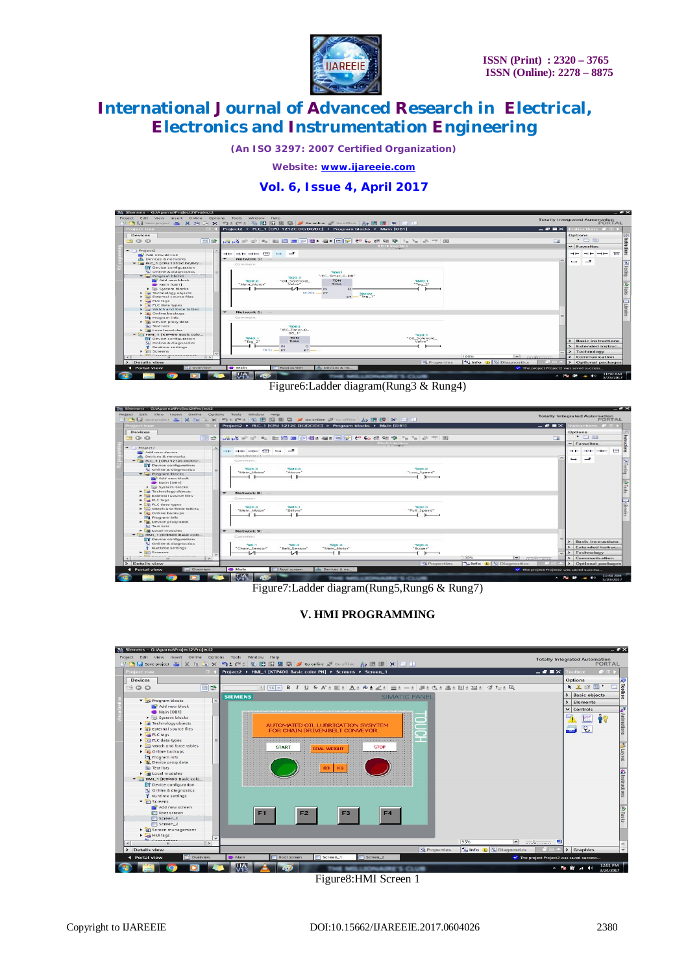

*(An ISO 3297: 2007 Certified Organization)*

*Website: [www.ijareeie.com](http://www.ijareeie.com)*

### **Vol. 6, Issue 4, April 2017**



Figure6:Ladder diagram(Rung3 & Rung4)

| <b>Project tree</b>                                                                                                                                                                                                                         |             |                               |                                                                                                                                                                                                                                           | 中心日Seeproject 当 X 班 / X 约 : (2: 2) 田田田田 / Goonine が Gootine み語   X -    <br>Project2 > PLC_1 [CPU 1212C DC/DC/DC] > Program blocks > Main [OB1] |                                                                                                              |                                     | $    \times$ $-$ |   | structions in             |                |
|---------------------------------------------------------------------------------------------------------------------------------------------------------------------------------------------------------------------------------------------|-------------|-------------------------------|-------------------------------------------------------------------------------------------------------------------------------------------------------------------------------------------------------------------------------------------|-------------------------------------------------------------------------------------------------------------------------------------------------|--------------------------------------------------------------------------------------------------------------|-------------------------------------|------------------|---|---------------------------|----------------|
| Devices                                                                                                                                                                                                                                     |             |                               |                                                                                                                                                                                                                                           |                                                                                                                                                 |                                                                                                              |                                     |                  |   | Options                   |                |
| 900<br>四卦                                                                                                                                                                                                                                   |             |                               |                                                                                                                                                                                                                                           |                                                                                                                                                 | NANX 中国 2010   三国 2010   2012   2012  2012  2013  2013  2012  2012  2013  2013  2013  2013  2013  2013  2013 |                                     | 三                |   | <b>Austral and</b>        |                |
|                                                                                                                                                                                                                                             |             |                               |                                                                                                                                                                                                                                           |                                                                                                                                                 | <b>Block interface</b>                                                                                       |                                     |                  |   | $\vee$ Favorites          |                |
| $-$ 1 Papierr2                                                                                                                                                                                                                              | $\tilde{ }$ |                               |                                                                                                                                                                                                                                           |                                                                                                                                                 |                                                                                                              |                                     |                  |   |                           |                |
| <b>W</b> Add new device                                                                                                                                                                                                                     |             | $-1 - 10 - 10$                | ╌<br><b>Show the Contract of the Contract of the Contract of the Contract of the Contract of the Contract of the Contract of the Contract of the Contract of the Contract of the Contract of the Contract of the Contract of the Cont</b> |                                                                                                                                                 |                                                                                                              |                                     |                  |   |                           | 1 <sub>H</sub> |
| de Devices & networks                                                                                                                                                                                                                       |             | in source interactions on the |                                                                                                                                                                                                                                           |                                                                                                                                                 |                                                                                                              |                                     |                  | ÷ | $\overline{\phantom{a}}$  |                |
| $= 1$ B.C. 1 (CPU 1212C DC/DC/                                                                                                                                                                                                              |             | Comment.                      |                                                                                                                                                                                                                                           |                                                                                                                                                 |                                                                                                              |                                     |                  | j |                           |                |
| To Device configuration                                                                                                                                                                                                                     |             |                               |                                                                                                                                                                                                                                           |                                                                                                                                                 |                                                                                                              |                                     |                  |   |                           |                |
| & Online & diagnostics                                                                                                                                                                                                                      |             | <b>DLOCK</b><br>"Nikin Monor" | TAIR OF<br>"Above"                                                                                                                                                                                                                        |                                                                                                                                                 | 200.2<br>"Low Speed"                                                                                         |                                     |                  |   |                           |                |
| The Program blocks                                                                                                                                                                                                                          |             |                               |                                                                                                                                                                                                                                           |                                                                                                                                                 |                                                                                                              |                                     |                  |   |                           |                |
| Add new block                                                                                                                                                                                                                               |             |                               |                                                                                                                                                                                                                                           |                                                                                                                                                 |                                                                                                              |                                     |                  |   |                           |                |
| <b>B</b> Main (CO1)                                                                                                                                                                                                                         |             |                               |                                                                                                                                                                                                                                           |                                                                                                                                                 |                                                                                                              |                                     |                  |   |                           |                |
| . Bi System blocks                                                                                                                                                                                                                          |             |                               |                                                                                                                                                                                                                                           |                                                                                                                                                 |                                                                                                              |                                     |                  |   |                           |                |
| <b>De Technology objects</b>                                                                                                                                                                                                                |             | Network B:                    |                                                                                                                                                                                                                                           |                                                                                                                                                 |                                                                                                              |                                     |                  |   |                           |                |
| Digit External source files                                                                                                                                                                                                                 |             | Commercett                    |                                                                                                                                                                                                                                           |                                                                                                                                                 |                                                                                                              |                                     |                  |   |                           |                |
| $P$ <sub>a</sub> PLC tags:                                                                                                                                                                                                                  |             |                               |                                                                                                                                                                                                                                           |                                                                                                                                                 |                                                                                                              |                                     |                  |   |                           |                |
| <b>&gt; Dig PLC data types</b>                                                                                                                                                                                                              |             | Ticso o                       | <b>TAXES</b>                                                                                                                                                                                                                              |                                                                                                                                                 | <b>SOO 3</b>                                                                                                 |                                     |                  |   |                           |                |
| Di Watch and force tables<br><b>F</b> a Online backups                                                                                                                                                                                      |             | "Nevirt Motor"                | "Eelow"                                                                                                                                                                                                                                   |                                                                                                                                                 | "Full Speed"                                                                                                 |                                     |                  |   |                           |                |
| <b>29 Program info</b>                                                                                                                                                                                                                      |             |                               |                                                                                                                                                                                                                                           |                                                                                                                                                 |                                                                                                              |                                     |                  |   |                           |                |
| <b>E. Device prondata</b>                                                                                                                                                                                                                   |             |                               |                                                                                                                                                                                                                                           |                                                                                                                                                 |                                                                                                              |                                     |                  |   |                           |                |
| <b>All Teaching</b>                                                                                                                                                                                                                         |             |                               |                                                                                                                                                                                                                                           |                                                                                                                                                 |                                                                                                              |                                     |                  |   |                           |                |
| Local modules                                                                                                                                                                                                                               |             | Network 9:                    |                                                                                                                                                                                                                                           |                                                                                                                                                 |                                                                                                              |                                     |                  |   |                           |                |
| THE HMI 1 EKTP400 Basic colo                                                                                                                                                                                                                |             | Comment                       |                                                                                                                                                                                                                                           |                                                                                                                                                 |                                                                                                              |                                     |                  |   |                           |                |
| <b>ITY Device configuration</b>                                                                                                                                                                                                             |             |                               |                                                                                                                                                                                                                                           |                                                                                                                                                 |                                                                                                              |                                     |                  |   |                           |                |
| <b>V.</b> Online & disanastics                                                                                                                                                                                                              |             | <b>1043 T.</b>                | $-20.2$                                                                                                                                                                                                                                   | 500.0                                                                                                                                           | 500.4                                                                                                        |                                     |                  |   | <b>Basic instructions</b> |                |
| Runtime settings                                                                                                                                                                                                                            |             | "Chain Sensor"                | "Belt Sensor"                                                                                                                                                                                                                             | "Alain Motor"                                                                                                                                   | "Buzer"                                                                                                      |                                     |                  |   | > Extended instruc.       |                |
| > Im Screens                                                                                                                                                                                                                                |             |                               | ᅭ                                                                                                                                                                                                                                         |                                                                                                                                                 |                                                                                                              |                                     |                  |   | > Technology              |                |
| <b>Control de la companya de la companya de la control de la control de la control de la control de la control de la control de la control de la control de la control de la control de la control de la control de la control d</b><br>in. |             |                               |                                                                                                                                                                                                                                           |                                                                                                                                                 |                                                                                                              | 100%                                | $\blacksquare$   |   | > Communication           |                |
| > Details view                                                                                                                                                                                                                              |             |                               |                                                                                                                                                                                                                                           |                                                                                                                                                 | Q Properties                                                                                                 | <b>Ulado 3</b> <i>L</i> Diagnostics |                  |   | > Optional packages       |                |

Figure7:Ladder diagram(Rung5,Rung6 & Rung7)

### **V. HMI PROGRAMMING**



Figure8:HMI Screen 1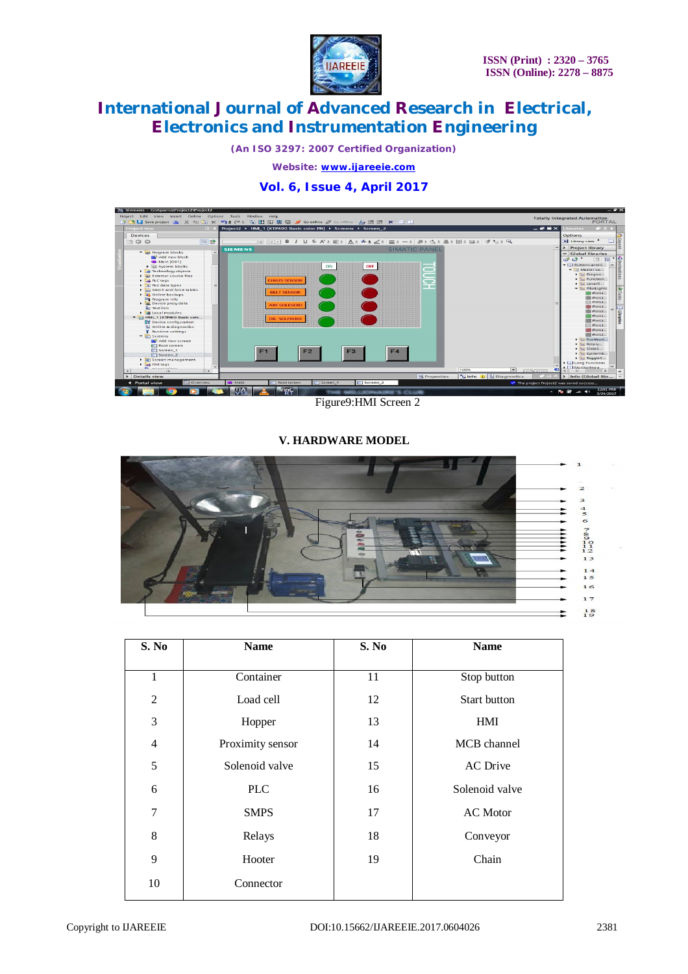

*(An ISO 3297: 2007 Certified Organization)*

*Website: [www.ijareeie.com](http://www.ijareeie.com)*

### **Vol. 6, Issue 4, April 2017**



Figure9:HMI Screen 2

### **V. HARDWARE MODEL**



| S. No          | <b>Name</b>      | S. No | <b>Name</b>         |
|----------------|------------------|-------|---------------------|
| 1              | Container        | 11    | Stop button         |
| $\overline{2}$ | Load cell        | 12    | <b>Start button</b> |
| 3              | Hopper           | 13    | <b>HMI</b>          |
| $\overline{4}$ | Proximity sensor | 14    | MCB channel         |
| 5              | Solenoid valve   | 15    | <b>AC</b> Drive     |
| 6              | <b>PLC</b>       | 16    | Solenoid valve      |
| 7              | <b>SMPS</b>      | 17    | <b>AC</b> Motor     |
| 8              | Relays           | 18    | Conveyor            |
| 9              | Hooter           | 19    | Chain               |
| 10             | Connector        |       |                     |